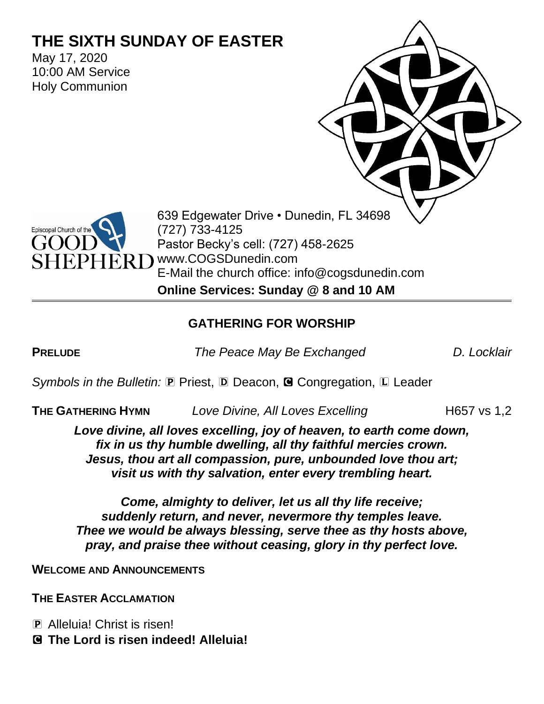# **THE SIXTH SUNDAY OF EASTER**

May 17, 2020 10:00 AM Service Holy Communion

> 639 Edgewater Drive • Dunedin, FL 34698 (727) 733-4125 Pastor Becky's cell: (727) 458-2625 R D www.COGSDunedin.com E-Mail the church office: info@cogsdunedin.com

**Online Services: Sunday @ 8 and 10 AM**

# **GATHERING FOR WORSHIP**

Episcopal Church of the

**PRELUDE** *The Peace May Be Exchanged D. Locklair*

*Symbols in the Bulletin:* P Priest, D Deacon, **G** Congregation, L Leader

**THE GATHERING HYMN** *Love Divine, All Loves Excelling* **H657** vs 1,2

*Love divine, all loves excelling, joy of heaven, to earth come down, fix in us thy humble dwelling, all thy faithful mercies crown. Jesus, thou art all compassion, pure, unbounded love thou art; visit us with thy salvation, enter every trembling heart.*

*Come, almighty to deliver, let us all thy life receive; suddenly return, and never, nevermore thy temples leave. Thee we would be always blessing, serve thee as thy hosts above, pray, and praise thee without ceasing, glory in thy perfect love.*

**WELCOME AND ANNOUNCEMENTS**

**THE EASTER ACCLAMATION**

P Alleluia! Christ is risen!

C **The Lord is risen indeed! Alleluia!**

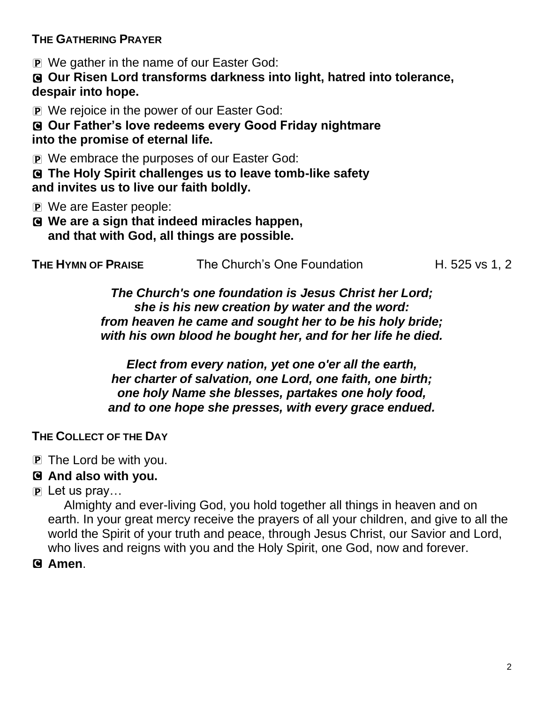**THE GATHERING PRAYER**

P We gather in the name of our Easter God:

C **Our Risen Lord transforms darkness into light, hatred into tolerance, despair into hope.**

P We rejoice in the power of our Easter God:

C **Our Father's love redeems every Good Friday nightmare into the promise of eternal life.**

P We embrace the purposes of our Easter God:

C **The Holy Spirit challenges us to leave tomb-like safety and invites us to live our faith boldly.**

- P We are Easter people:
- C **We are a sign that indeed miracles happen, and that with God, all things are possible.**

| THE HYMN OF PRAISE | The Church's One Foundation | H. 525 vs 1, 2 |
|--------------------|-----------------------------|----------------|
|--------------------|-----------------------------|----------------|

*The Church's one foundation is Jesus Christ her Lord; she is his new creation by water and the word: from heaven he came and sought her to be his holy bride; with his own blood he bought her, and for her life he died.*

*Elect from every nation, yet one o'er all the earth, her charter of salvation, one Lord, one faith, one birth; one holy Name she blesses, partakes one holy food, and to one hope she presses, with every grace endued.*

### **THE COLLECT OF THE DAY**

P The Lord be with you.

# C **And also with you.**

P Let us pray…

Almighty and ever-living God, you hold together all things in heaven and on earth. In your great mercy receive the prayers of all your children, and give to all the world the Spirit of your truth and peace, through Jesus Christ, our Savior and Lord, who lives and reigns with you and the Holy Spirit, one God, now and forever.

C **Amen**.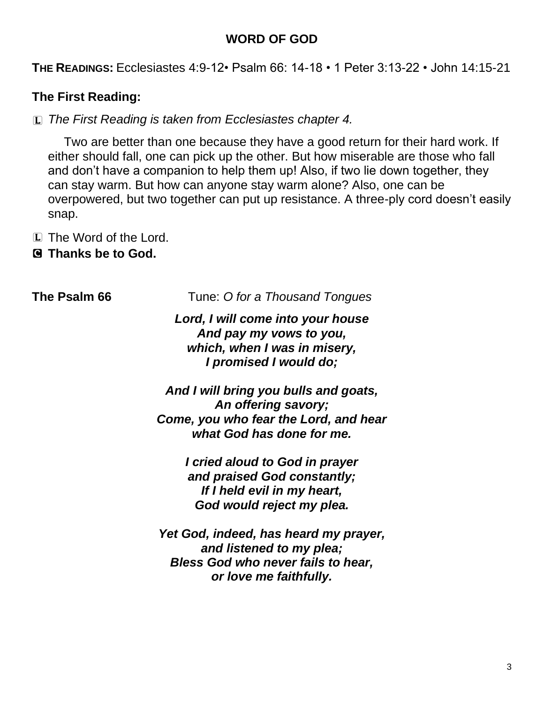#### **WORD OF GOD**

**THE READINGS:** Ecclesiastes 4:9-12• Psalm 66: 14-18 • 1 Peter 3:13-22 • John 14:15-21

# **The First Reading:**

L *The First Reading is taken from Ecclesiastes chapter 4.*

Two are better than one because they have a good return for their hard work. If either should fall, one can pick up the other. But how miserable are those who fall and don't have a companion to help them up! Also, if two lie down together, they can stay warm. But how can anyone stay warm alone? Also, one can be overpowered, but two together can put up resistance. A three-ply cord doesn't easily snap.

L The Word of the Lord.

C **Thanks be to God.**

**The Psalm 66** Tune: *O for a Thousand Tongues*

*Lord, I will come into your house And pay my vows to you, which, when I was in misery, I promised I would do;*

*And I will bring you bulls and goats, An offering savory; Come, you who fear the Lord, and hear what God has done for me.*

> *I cried aloud to God in prayer and praised God constantly; If I held evil in my heart, God would reject my plea.*

*Yet God, indeed, has heard my prayer, and listened to my plea; Bless God who never fails to hear, or love me faithfully.*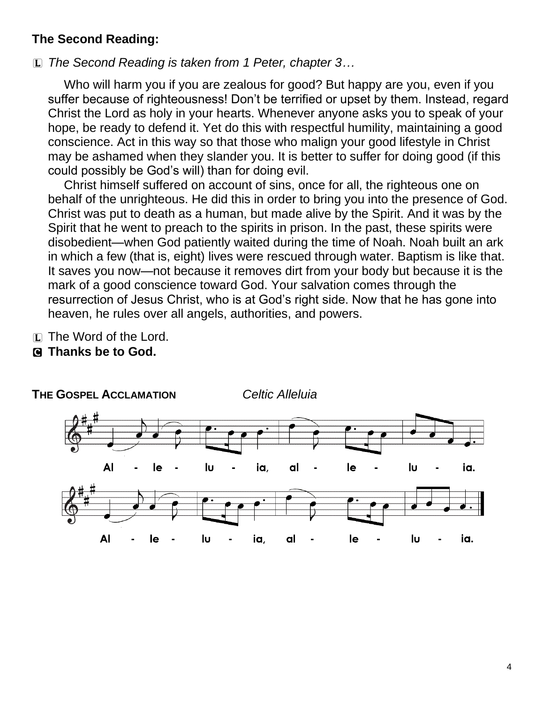#### **The Second Reading:**

L *The Second Reading is taken from 1 Peter, chapter 3…*

**THE GOSPEL ACCLAMATION** *Celtic Alleluia*

Who will harm you if you are zealous for good? But happy are you, even if you suffer because of righteousness! Don't be terrified or upset by them. Instead, regard Christ the Lord as holy in your hearts. Whenever anyone asks you to speak of your hope, be ready to defend it. Yet do this with respectful humility, maintaining a good conscience. Act in this way so that those who malign your good lifestyle in Christ may be ashamed when they slander you. It is better to suffer for doing good (if this could possibly be God's will) than for doing evil.

Christ himself suffered on account of sins, once for all, the righteous one on behalf of the unrighteous. He did this in order to bring you into the presence of God. Christ was put to death as a human, but made alive by the Spirit. And it was by the Spirit that he went to preach to the spirits in prison. In the past, these spirits were disobedient—when God patiently waited during the time of Noah. Noah built an ark in which a few (that is, eight) lives were rescued through water. Baptism is like that. It saves you now—not because it removes dirt from your body but because it is the mark of a good conscience toward God. Your salvation comes through the resurrection of Jesus Christ, who is at God's right side. Now that he has gone into heaven, he rules over all angels, authorities, and powers.

- L The Word of the Lord.
- C **Thanks be to God.**

**AI** le lυ ia, al le lυ ia. **AI** ΙU le ia. ia, lυ le al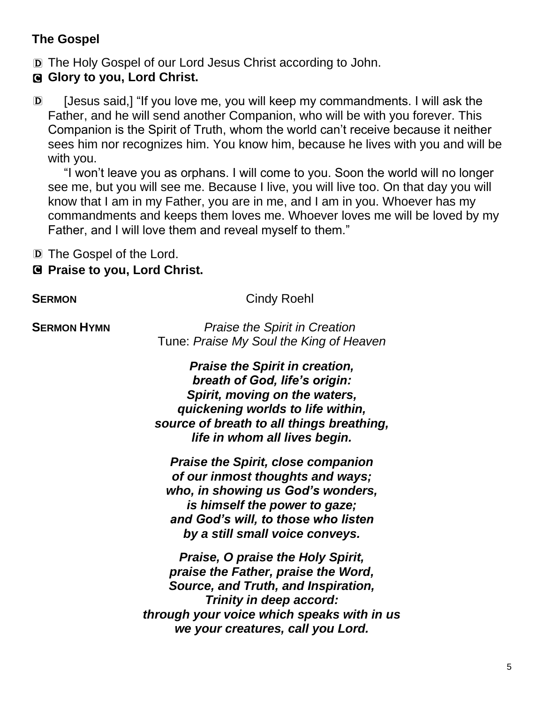# **The Gospel**

- D The Holy Gospel of our Lord Jesus Christ according to John.
- C **Glory to you, Lord Christ.**
- D [Jesus said,] "If you love me, you will keep my commandments. I will ask the Father, and he will send another Companion, who will be with you forever. This Companion is the Spirit of Truth, whom the world can't receive because it neither sees him nor recognizes him. You know him, because he lives with you and will be with you.

"I won't leave you as orphans. I will come to you. Soon the world will no longer see me, but you will see me. Because I live, you will live too. On that day you will know that I am in my Father, you are in me, and I am in you. Whoever has my commandments and keeps them loves me. Whoever loves me will be loved by my Father, and I will love them and reveal myself to them."

D The Gospel of the Lord.

# C **Praise to you, Lord Christ.**

**SERMON** Cindy Roehl

**SERMON HYMN** *Praise the Spirit in Creation* Tune: *Praise My Soul the King of Heaven*

> *Praise the Spirit in creation, breath of God, life's origin: Spirit, moving on the waters, quickening worlds to life within, source of breath to all things breathing, life in whom all lives begin.*

*Praise the Spirit, close companion of our inmost thoughts and ways; who, in showing us God's wonders, is himself the power to gaze; and God's will, to those who listen by a still small voice conveys.* 

*Praise, O praise the Holy Spirit, praise the Father, praise the Word, Source, and Truth, and Inspiration, Trinity in deep accord: through your voice which speaks with in us we your creatures, call you Lord.*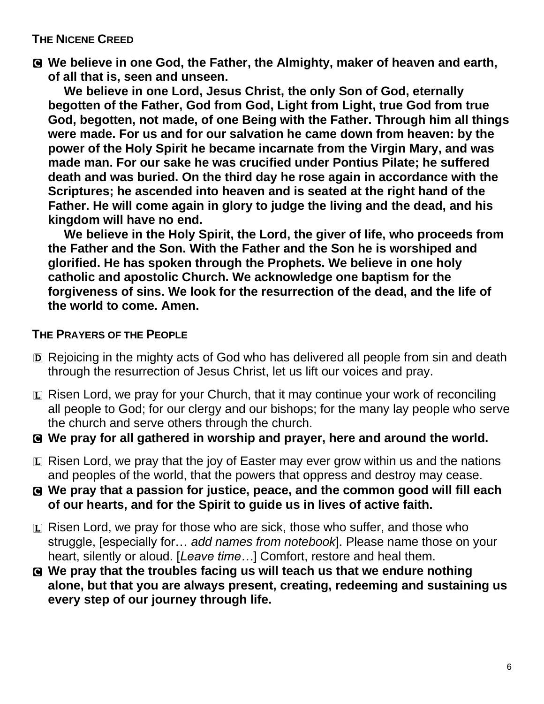#### **THE NICENE CREED**

C **We believe in one God, the Father, the Almighty, maker of heaven and earth, of all that is, seen and unseen.** 

**We believe in one Lord, Jesus Christ, the only Son of God, eternally begotten of the Father, God from God, Light from Light, true God from true God, begotten, not made, of one Being with the Father. Through him all things were made. For us and for our salvation he came down from heaven: by the power of the Holy Spirit he became incarnate from the Virgin Mary, and was made man. For our sake he was crucified under Pontius Pilate; he suffered death and was buried. On the third day he rose again in accordance with the Scriptures; he ascended into heaven and is seated at the right hand of the Father. He will come again in glory to judge the living and the dead, and his kingdom will have no end.**

**We believe in the Holy Spirit, the Lord, the giver of life, who proceeds from the Father and the Son. With the Father and the Son he is worshiped and glorified. He has spoken through the Prophets. We believe in one holy catholic and apostolic Church. We acknowledge one baptism for the forgiveness of sins. We look for the resurrection of the dead, and the life of the world to come. Amen.**

#### **THE PRAYERS OF THE PEOPLE**

- D Rejoicing in the mighty acts of God who has delivered all people from sin and death through the resurrection of Jesus Christ, let us lift our voices and pray.
- L Risen Lord, we pray for your Church, that it may continue your work of reconciling all people to God; for our clergy and our bishops; for the many lay people who serve the church and serve others through the church.
- C **We pray for all gathered in worship and prayer, here and around the world.**
- $\Box$  Risen Lord, we pray that the joy of Easter may ever grow within us and the nations and peoples of the world, that the powers that oppress and destroy may cease.
- C **We pray that a passion for justice, peace, and the common good will fill each of our hearts, and for the Spirit to guide us in lives of active faith.**
- $\Box$  Risen Lord, we pray for those who are sick, those who suffer, and those who struggle, [especially for… *add names from notebook*]. Please name those on your heart, silently or aloud. [*Leave time…*] Comfort, restore and heal them.
- C **We pray that the troubles facing us will teach us that we endure nothing alone, but that you are always present, creating, redeeming and sustaining us every step of our journey through life.**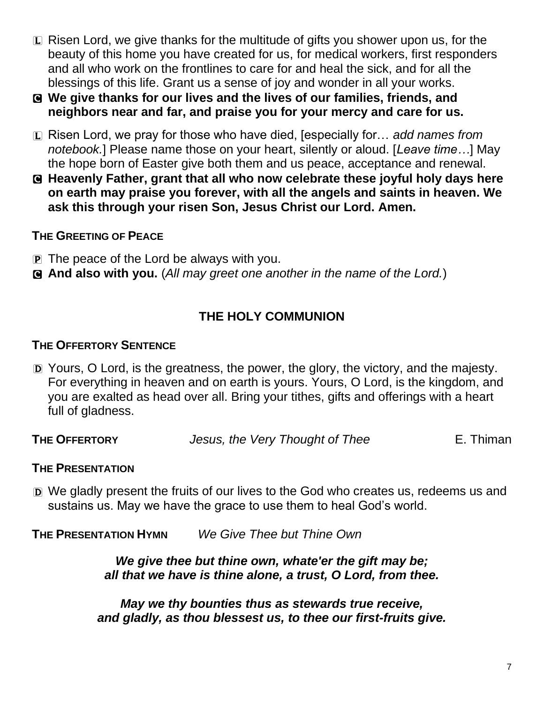- $\Box$  Risen Lord, we give thanks for the multitude of gifts you shower upon us, for the beauty of this home you have created for us, for medical workers, first responders and all who work on the frontlines to care for and heal the sick, and for all the blessings of this life. Grant us a sense of joy and wonder in all your works.
- C **We give thanks for our lives and the lives of our families, friends, and neighbors near and far, and praise you for your mercy and care for us.**
- L Risen Lord, we pray for those who have died, [especially for… *add names from notebook.*] Please name those on your heart, silently or aloud. [*Leave time…*] May the hope born of Easter give both them and us peace, acceptance and renewal.
- C **Heavenly Father, grant that all who now celebrate these joyful holy days here on earth may praise you forever, with all the angels and saints in heaven. We ask this through your risen Son, Jesus Christ our Lord. Amen.**

#### **THE GREETING OF PEACE**

- P The peace of the Lord be always with you.
- C **And also with you.** (*All may greet one another in the name of the Lord.*)

# **THE HOLY COMMUNION**

#### **THE OFFERTORY SENTENCE**

- D Yours, O Lord, is the greatness, the power, the glory, the victory, and the majesty. For everything in heaven and on earth is yours. Yours, O Lord, is the kingdom, and you are exalted as head over all. Bring your tithes, gifts and offerings with a heart full of gladness.
- **THE OFFERTORY** *Jesus, the Very Thought of Thee* E. Thiman

#### **THE PRESENTATION**

D We gladly present the fruits of our lives to the God who creates us, redeems us and sustains us. May we have the grace to use them to heal God's world.

**THE PRESENTATION HYMN** *We Give Thee but Thine Own*

*We give thee but thine own, whate'er the gift may be; all that we have is thine alone, a trust, O Lord, from thee.*

*May we thy bounties thus as stewards true receive, and gladly, as thou blessest us, to thee our first-fruits give.*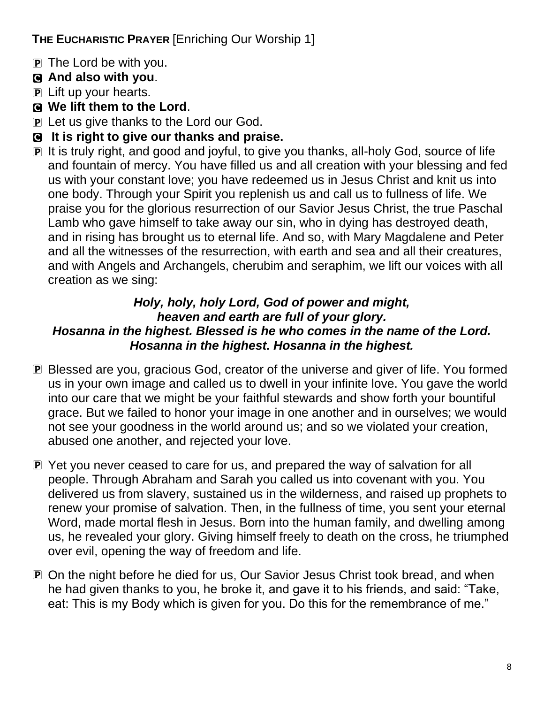# **THE EUCHARISTIC PRAYER** [Enriching Our Worship 1]

- P The Lord be with you.
- C **And also with you**.
- P Lift up your hearts.
- C **We lift them to the Lord**.
- P Let us give thanks to the Lord our God.
- C **It is right to give our thanks and praise.**
- P It is truly right, and good and joyful, to give you thanks, all-holy God, source of life and fountain of mercy. You have filled us and all creation with your blessing and fed us with your constant love; you have redeemed us in Jesus Christ and knit us into one body. Through your Spirit you replenish us and call us to fullness of life. We praise you for the glorious resurrection of our Savior Jesus Christ, the true Paschal Lamb who gave himself to take away our sin, who in dying has destroyed death, and in rising has brought us to eternal life. And so, with Mary Magdalene and Peter and all the witnesses of the resurrection, with earth and sea and all their creatures, and with Angels and Archangels, cherubim and seraphim, we lift our voices with all creation as we sing:

# *Holy, holy, holy Lord, God of power and might, heaven and earth are full of your glory. Hosanna in the highest. Blessed is he who comes in the name of the Lord. Hosanna in the highest. Hosanna in the highest.*

- P Blessed are you, gracious God, creator of the universe and giver of life. You formed us in your own image and called us to dwell in your infinite love. You gave the world into our care that we might be your faithful stewards and show forth your bountiful grace. But we failed to honor your image in one another and in ourselves; we would not see your goodness in the world around us; and so we violated your creation, abused one another, and rejected your love.
- P Yet you never ceased to care for us, and prepared the way of salvation for all people. Through Abraham and Sarah you called us into covenant with you. You delivered us from slavery, sustained us in the wilderness, and raised up prophets to renew your promise of salvation. Then, in the fullness of time, you sent your eternal Word, made mortal flesh in Jesus. Born into the human family, and dwelling among us, he revealed your glory. Giving himself freely to death on the cross, he triumphed over evil, opening the way of freedom and life.
- P On the night before he died for us, Our Savior Jesus Christ took bread, and when he had given thanks to you, he broke it, and gave it to his friends, and said: "Take, eat: This is my Body which is given for you. Do this for the remembrance of me."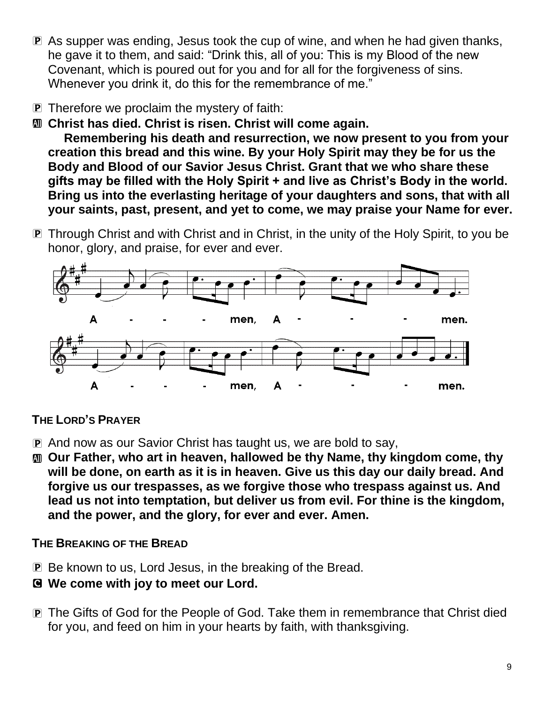- P As supper was ending, Jesus took the cup of wine, and when he had given thanks, he gave it to them, and said: "Drink this, all of you: This is my Blood of the new Covenant, which is poured out for you and for all for the forgiveness of sins. Whenever you drink it, do this for the remembrance of me."
- P Therefore we proclaim the mystery of faith:
- a **Christ has died. Christ is risen. Christ will come again.**

**Remembering his death and resurrection, we now present to you from your creation this bread and this wine. By your Holy Spirit may they be for us the Body and Blood of our Savior Jesus Christ. Grant that we who share these gifts may be filled with the Holy Spirit + and live as Christ's Body in the world. Bring us into the everlasting heritage of your daughters and sons, that with all your saints, past, present, and yet to come, we may praise your Name for ever.**

**P** Through Christ and with Christ and in Christ, in the unity of the Holy Spirit, to you be honor, glory, and praise, for ever and ever.



### **THE LORD'S PRAYER**

- P And now as our Savior Christ has taught us, we are bold to say,
- a **Our Father, who art in heaven, hallowed be thy Name, thy kingdom come, thy will be done, on earth as it is in heaven. Give us this day our daily bread. And forgive us our trespasses, as we forgive those who trespass against us. And lead us not into temptation, but deliver us from evil. For thine is the kingdom, and the power, and the glory, for ever and ever. Amen.**

#### **THE BREAKING OF THE BREAD**

- P Be known to us, Lord Jesus, in the breaking of the Bread.
- C **We come with joy to meet our Lord.**
- P The Gifts of God for the People of God. Take them in remembrance that Christ died for you, and feed on him in your hearts by faith, with thanksgiving.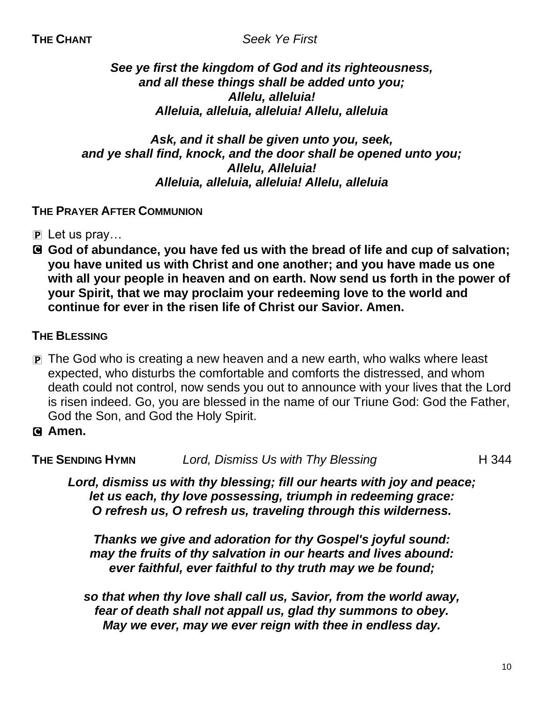## *See ye first the kingdom of God and its righteousness, and all these things shall be added unto you; Allelu, alleluia! Alleluia, alleluia, alleluia! Allelu, alleluia*

#### *Ask, and it shall be given unto you, seek, and ye shall find, knock, and the door shall be opened unto you; Allelu, Alleluia! Alleluia, alleluia, alleluia! Allelu, alleluia*

# **THE PRAYER AFTER COMMUNION**

- $\overline{p}$  Let us pray...
- C **God of abundance, you have fed us with the bread of life and cup of salvation; you have united us with Christ and one another; and you have made us one with all your people in heaven and on earth. Now send us forth in the power of your Spirit, that we may proclaim your redeeming love to the world and continue for ever in the risen life of Christ our Savior. Amen.**

# **THE BLESSING**

- P The God who is creating a new heaven and a new earth, who walks where least expected, who disturbs the comfortable and comforts the distressed, and whom death could not control, now sends you out to announce with your lives that the Lord is risen indeed. Go, you are blessed in the name of our Triune God: God the Father, God the Son, and God the Holy Spirit.
- C **Amen.**

**THE SENDING HYMN** *Lord, Dismiss Us with Thy Blessing* **H** 344

*Lord, dismiss us with thy blessing; fill our hearts with joy and peace; let us each, thy love possessing, triumph in redeeming grace: O refresh us, O refresh us, traveling through this wilderness.*

*Thanks we give and adoration for thy Gospel's joyful sound: may the fruits of thy salvation in our hearts and lives abound: ever faithful, ever faithful to thy truth may we be found;*

*so that when thy love shall call us, Savior, from the world away, fear of death shall not appall us, glad thy summons to obey. May we ever, may we ever reign with thee in endless day.*